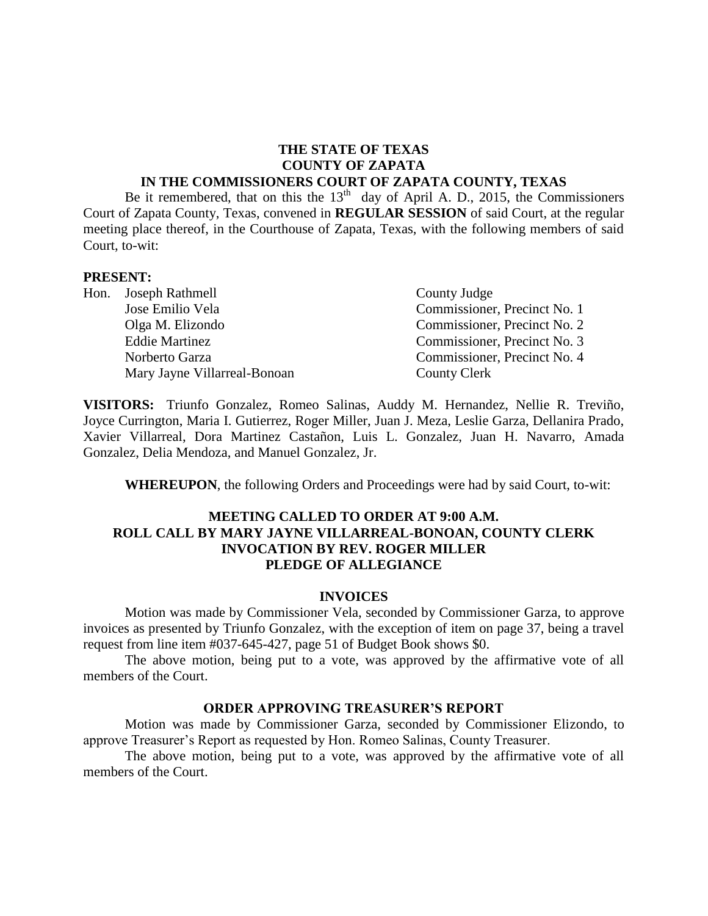#### **THE STATE OF TEXAS COUNTY OF ZAPATA IN THE COMMISSIONERS COURT OF ZAPATA COUNTY, TEXAS**

Be it remembered, that on this the  $13<sup>th</sup>$  day of April A. D., 2015, the Commissioners Court of Zapata County, Texas, convened in **REGULAR SESSION** of said Court, at the regular meeting place thereof, in the Courthouse of Zapata, Texas, with the following members of said Court, to-wit:

#### **PRESENT:**

| Hon. Joseph Rathmell         | County Judge                 |  |
|------------------------------|------------------------------|--|
| Jose Emilio Vela             | Commissioner, Precinct No. 1 |  |
| Olga M. Elizondo             | Commissioner, Precinct No. 2 |  |
| <b>Eddie Martinez</b>        | Commissioner, Precinct No. 3 |  |
| Norberto Garza               | Commissioner, Precinct No. 4 |  |
| Mary Jayne Villarreal-Bonoan | <b>County Clerk</b>          |  |

**VISITORS:** Triunfo Gonzalez, Romeo Salinas, Auddy M. Hernandez, Nellie R. Treviño, Joyce Currington, Maria I. Gutierrez, Roger Miller, Juan J. Meza, Leslie Garza, Dellanira Prado, Xavier Villarreal, Dora Martinez Castañon, Luis L. Gonzalez, Juan H. Navarro, Amada Gonzalez, Delia Mendoza, and Manuel Gonzalez, Jr.

**WHEREUPON**, the following Orders and Proceedings were had by said Court, to-wit:

#### **MEETING CALLED TO ORDER AT 9:00 A.M. ROLL CALL BY MARY JAYNE VILLARREAL-BONOAN, COUNTY CLERK INVOCATION BY REV. ROGER MILLER PLEDGE OF ALLEGIANCE**

#### **INVOICES**

Motion was made by Commissioner Vela, seconded by Commissioner Garza, to approve invoices as presented by Triunfo Gonzalez, with the exception of item on page 37, being a travel request from line item #037-645-427, page 51 of Budget Book shows \$0.

The above motion, being put to a vote, was approved by the affirmative vote of all members of the Court.

#### **ORDER APPROVING TREASURER'S REPORT**

Motion was made by Commissioner Garza, seconded by Commissioner Elizondo, to approve Treasurer's Report as requested by Hon. Romeo Salinas, County Treasurer.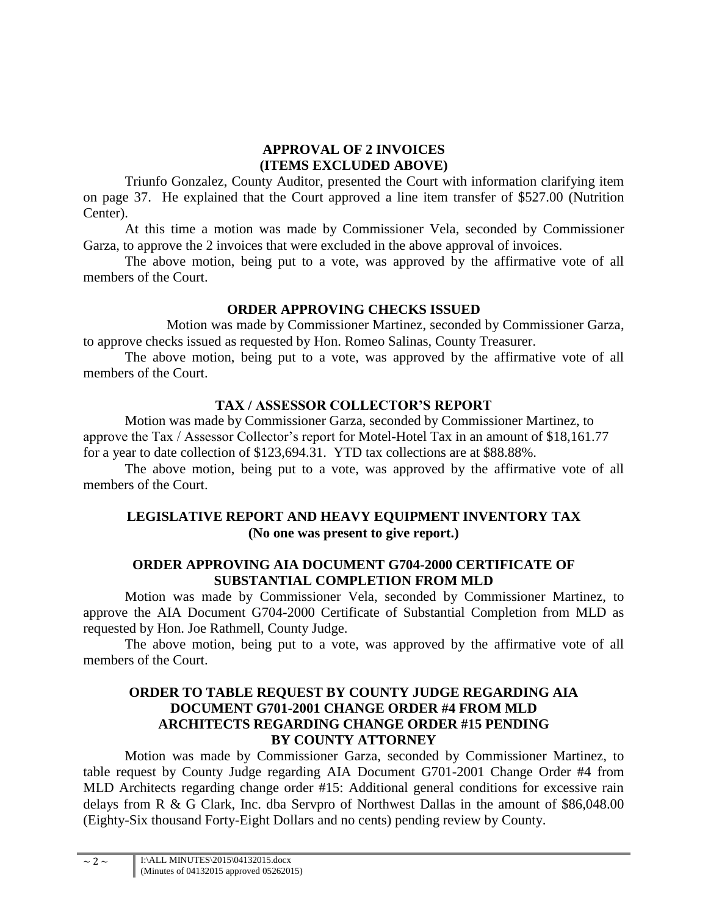### **APPROVAL OF 2 INVOICES (ITEMS EXCLUDED ABOVE)**

Triunfo Gonzalez, County Auditor, presented the Court with information clarifying item on page 37. He explained that the Court approved a line item transfer of \$527.00 (Nutrition Center).

At this time a motion was made by Commissioner Vela, seconded by Commissioner Garza, to approve the 2 invoices that were excluded in the above approval of invoices.

The above motion, being put to a vote, was approved by the affirmative vote of all members of the Court.

# **ORDER APPROVING CHECKS ISSUED**

Motion was made by Commissioner Martinez, seconded by Commissioner Garza, to approve checks issued as requested by Hon. Romeo Salinas, County Treasurer.

The above motion, being put to a vote, was approved by the affirmative vote of all members of the Court.

# **TAX / ASSESSOR COLLECTOR'S REPORT**

Motion was made by Commissioner Garza, seconded by Commissioner Martinez, to approve the Tax / Assessor Collector's report for Motel-Hotel Tax in an amount of \$18,161.77 for a year to date collection of \$123,694.31. YTD tax collections are at \$88.88%.

The above motion, being put to a vote, was approved by the affirmative vote of all members of the Court.

# **LEGISLATIVE REPORT AND HEAVY EQUIPMENT INVENTORY TAX (No one was present to give report.)**

## **ORDER APPROVING AIA DOCUMENT G704-2000 CERTIFICATE OF SUBSTANTIAL COMPLETION FROM MLD**

Motion was made by Commissioner Vela, seconded by Commissioner Martinez, to approve the AIA Document G704-2000 Certificate of Substantial Completion from MLD as requested by Hon. Joe Rathmell, County Judge.

The above motion, being put to a vote, was approved by the affirmative vote of all members of the Court.

### **ORDER TO TABLE REQUEST BY COUNTY JUDGE REGARDING AIA DOCUMENT G701-2001 CHANGE ORDER #4 FROM MLD ARCHITECTS REGARDING CHANGE ORDER #15 PENDING BY COUNTY ATTORNEY**

Motion was made by Commissioner Garza, seconded by Commissioner Martinez, to table request by County Judge regarding AIA Document G701-2001 Change Order #4 from MLD Architects regarding change order #15: Additional general conditions for excessive rain delays from R & G Clark, Inc. dba Servpro of Northwest Dallas in the amount of \$86,048.00 (Eighty-Six thousand Forty-Eight Dollars and no cents) pending review by County.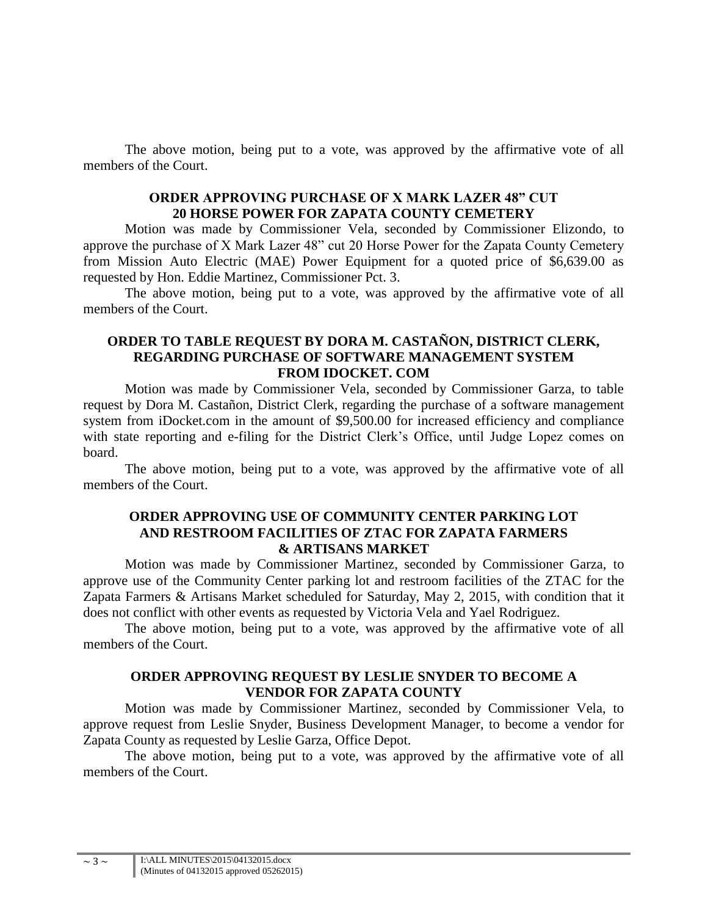The above motion, being put to a vote, was approved by the affirmative vote of all members of the Court.

### **ORDER APPROVING PURCHASE OF X MARK LAZER 48" CUT 20 HORSE POWER FOR ZAPATA COUNTY CEMETERY**

Motion was made by Commissioner Vela, seconded by Commissioner Elizondo, to approve the purchase of X Mark Lazer 48" cut 20 Horse Power for the Zapata County Cemetery from Mission Auto Electric (MAE) Power Equipment for a quoted price of \$6,639.00 as requested by Hon. Eddie Martinez, Commissioner Pct. 3.

The above motion, being put to a vote, was approved by the affirmative vote of all members of the Court.

#### **ORDER TO TABLE REQUEST BY DORA M. CASTAÑON, DISTRICT CLERK, REGARDING PURCHASE OF SOFTWARE MANAGEMENT SYSTEM FROM IDOCKET. COM**

Motion was made by Commissioner Vela, seconded by Commissioner Garza, to table request by Dora M. Castañon, District Clerk, regarding the purchase of a software management system from iDocket.com in the amount of \$9,500.00 for increased efficiency and compliance with state reporting and e-filing for the District Clerk's Office, until Judge Lopez comes on board.

The above motion, being put to a vote, was approved by the affirmative vote of all members of the Court.

#### **ORDER APPROVING USE OF COMMUNITY CENTER PARKING LOT AND RESTROOM FACILITIES OF ZTAC FOR ZAPATA FARMERS & ARTISANS MARKET**

Motion was made by Commissioner Martinez, seconded by Commissioner Garza, to approve use of the Community Center parking lot and restroom facilities of the ZTAC for the Zapata Farmers & Artisans Market scheduled for Saturday, May 2, 2015, with condition that it does not conflict with other events as requested by Victoria Vela and Yael Rodriguez.

The above motion, being put to a vote, was approved by the affirmative vote of all members of the Court.

## **ORDER APPROVING REQUEST BY LESLIE SNYDER TO BECOME A VENDOR FOR ZAPATA COUNTY**

Motion was made by Commissioner Martinez, seconded by Commissioner Vela, to approve request from Leslie Snyder, Business Development Manager, to become a vendor for Zapata County as requested by Leslie Garza, Office Depot.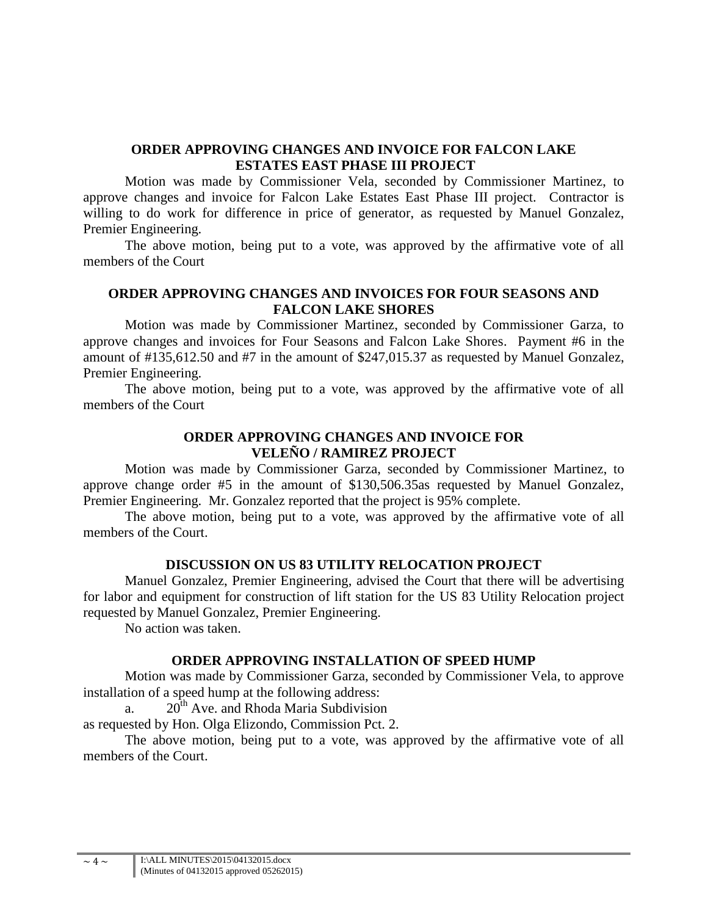### **ORDER APPROVING CHANGES AND INVOICE FOR FALCON LAKE ESTATES EAST PHASE III PROJECT**

Motion was made by Commissioner Vela, seconded by Commissioner Martinez, to approve changes and invoice for Falcon Lake Estates East Phase III project. Contractor is willing to do work for difference in price of generator, as requested by Manuel Gonzalez, Premier Engineering.

The above motion, being put to a vote, was approved by the affirmative vote of all members of the Court

#### **ORDER APPROVING CHANGES AND INVOICES FOR FOUR SEASONS AND FALCON LAKE SHORES**

Motion was made by Commissioner Martinez, seconded by Commissioner Garza, to approve changes and invoices for Four Seasons and Falcon Lake Shores. Payment #6 in the amount of #135,612.50 and #7 in the amount of \$247,015.37 as requested by Manuel Gonzalez, Premier Engineering.

The above motion, being put to a vote, was approved by the affirmative vote of all members of the Court

### **ORDER APPROVING CHANGES AND INVOICE FOR VELEÑO / RAMIREZ PROJECT**

Motion was made by Commissioner Garza, seconded by Commissioner Martinez, to approve change order #5 in the amount of \$130,506.35as requested by Manuel Gonzalez, Premier Engineering. Mr. Gonzalez reported that the project is 95% complete.

The above motion, being put to a vote, was approved by the affirmative vote of all members of the Court.

#### **DISCUSSION ON US 83 UTILITY RELOCATION PROJECT**

Manuel Gonzalez, Premier Engineering, advised the Court that there will be advertising for labor and equipment for construction of lift station for the US 83 Utility Relocation project requested by Manuel Gonzalez, Premier Engineering.

No action was taken.

#### **ORDER APPROVING INSTALLATION OF SPEED HUMP**

Motion was made by Commissioner Garza, seconded by Commissioner Vela, to approve installation of a speed hump at the following address:

a.  $20^{th}$  Ave. and Rhoda Maria Subdivision

as requested by Hon. Olga Elizondo, Commission Pct. 2.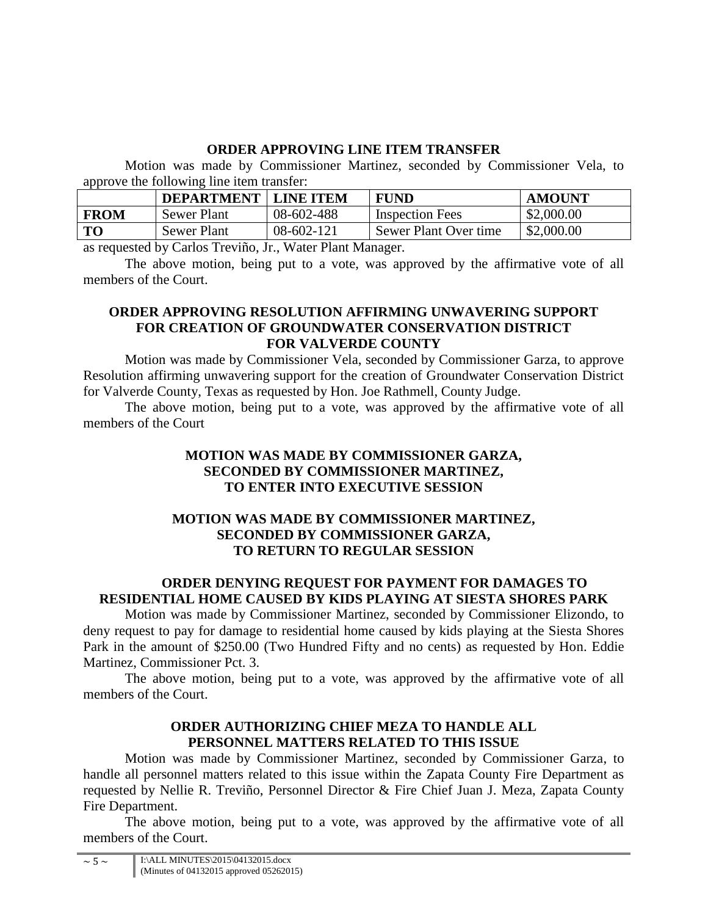# **ORDER APPROVING LINE ITEM TRANSFER**

Motion was made by Commissioner Martinez, seconded by Commissioner Vela, to approve the following line item transfer:

|             | <b>DEPARTMENT</b>  | <b>LINE ITEM</b> | <b>FUND</b>            | <b>AMOUNT</b> |
|-------------|--------------------|------------------|------------------------|---------------|
| <b>FROM</b> | <b>Sewer Plant</b> | 08-602-488       | <b>Inspection Fees</b> | \$2,000.00    |
| <b>TO</b>   | <b>Sewer Plant</b> | 08-602-121       | Sewer Plant Over time  | \$2,000.00    |

as requested by Carlos Treviño, Jr., Water Plant Manager.

The above motion, being put to a vote, was approved by the affirmative vote of all members of the Court.

## **ORDER APPROVING RESOLUTION AFFIRMING UNWAVERING SUPPORT FOR CREATION OF GROUNDWATER CONSERVATION DISTRICT FOR VALVERDE COUNTY**

Motion was made by Commissioner Vela, seconded by Commissioner Garza, to approve Resolution affirming unwavering support for the creation of Groundwater Conservation District for Valverde County, Texas as requested by Hon. Joe Rathmell, County Judge.

The above motion, being put to a vote, was approved by the affirmative vote of all members of the Court

## **MOTION WAS MADE BY COMMISSIONER GARZA, SECONDED BY COMMISSIONER MARTINEZ, TO ENTER INTO EXECUTIVE SESSION**

# **MOTION WAS MADE BY COMMISSIONER MARTINEZ, SECONDED BY COMMISSIONER GARZA, TO RETURN TO REGULAR SESSION**

# **ORDER DENYING REQUEST FOR PAYMENT FOR DAMAGES TO RESIDENTIAL HOME CAUSED BY KIDS PLAYING AT SIESTA SHORES PARK**

Motion was made by Commissioner Martinez, seconded by Commissioner Elizondo, to deny request to pay for damage to residential home caused by kids playing at the Siesta Shores Park in the amount of \$250.00 (Two Hundred Fifty and no cents) as requested by Hon. Eddie Martinez, Commissioner Pct. 3.

The above motion, being put to a vote, was approved by the affirmative vote of all members of the Court.

### **ORDER AUTHORIZING CHIEF MEZA TO HANDLE ALL PERSONNEL MATTERS RELATED TO THIS ISSUE**

Motion was made by Commissioner Martinez, seconded by Commissioner Garza, to handle all personnel matters related to this issue within the Zapata County Fire Department as requested by Nellie R. Treviño, Personnel Director & Fire Chief Juan J. Meza, Zapata County Fire Department.